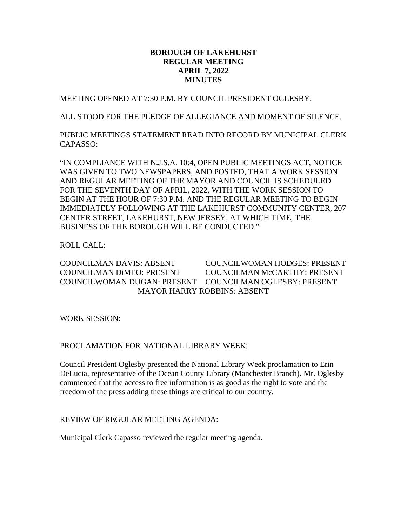## **BOROUGH OF LAKEHURST REGULAR MEETING APRIL 7, 2022 MINUTES**

MEETING OPENED AT 7:30 P.M. BY COUNCIL PRESIDENT OGLESBY.

ALL STOOD FOR THE PLEDGE OF ALLEGIANCE AND MOMENT OF SILENCE.

PUBLIC MEETINGS STATEMENT READ INTO RECORD BY MUNICIPAL CLERK CAPASSO:

"IN COMPLIANCE WITH N.J.S.A. 10:4, OPEN PUBLIC MEETINGS ACT, NOTICE WAS GIVEN TO TWO NEWSPAPERS, AND POSTED, THAT A WORK SESSION AND REGULAR MEETING OF THE MAYOR AND COUNCIL IS SCHEDULED FOR THE SEVENTH DAY OF APRIL, 2022, WITH THE WORK SESSION TO BEGIN AT THE HOUR OF 7:30 P.M. AND THE REGULAR MEETING TO BEGIN IMMEDIATELY FOLLOWING AT THE LAKEHURST COMMUNITY CENTER, 207 CENTER STREET, LAKEHURST, NEW JERSEY, AT WHICH TIME, THE BUSINESS OF THE BOROUGH WILL BE CONDUCTED."

ROLL CALL:

COUNCILMAN DAVIS: ABSENT COUNCILWOMAN HODGES: PRESENT COUNCILMAN DiMEO: PRESENT COUNCILMAN McCARTHY: PRESENT COUNCILWOMAN DUGAN: PRESENT COUNCILMAN OGLESBY: PRESENT MAYOR HARRY ROBBINS: ABSENT

WORK SESSION:

### PROCLAMATION FOR NATIONAL LIBRARY WEEK:

Council President Oglesby presented the National Library Week proclamation to Erin DeLucia, representative of the Ocean County Library (Manchester Branch). Mr. Oglesby commented that the access to free information is as good as the right to vote and the freedom of the press adding these things are critical to our country.

### REVIEW OF REGULAR MEETING AGENDA:

Municipal Clerk Capasso reviewed the regular meeting agenda.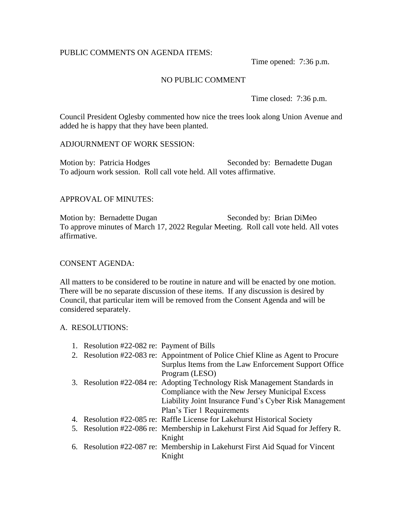## PUBLIC COMMENTS ON AGENDA ITEMS:

Time opened: 7:36 p.m.

## NO PUBLIC COMMENT

Time closed: 7:36 p.m.

Council President Oglesby commented how nice the trees look along Union Avenue and added he is happy that they have been planted.

### ADJOURNMENT OF WORK SESSION:

Motion by: Patricia Hodges Seconded by: Bernadette Dugan To adjourn work session. Roll call vote held. All votes affirmative.

### APPROVAL OF MINUTES:

Motion by: Bernadette Dugan Seconded by: Brian DiMeo To approve minutes of March 17, 2022 Regular Meeting. Roll call vote held. All votes affirmative.

### CONSENT AGENDA:

All matters to be considered to be routine in nature and will be enacted by one motion. There will be no separate discussion of these items. If any discussion is desired by Council, that particular item will be removed from the Consent Agenda and will be considered separately.

#### A. RESOLUTIONS:

| 1. Resolution #22-082 re: Payment of Bills |                                                                                  |
|--------------------------------------------|----------------------------------------------------------------------------------|
|                                            | 2. Resolution #22-083 re: Appointment of Police Chief Kline as Agent to Procure  |
|                                            | Surplus Items from the Law Enforcement Support Office                            |
|                                            | Program (LESO)                                                                   |
|                                            | 3. Resolution #22-084 re: Adopting Technology Risk Management Standards in       |
|                                            | Compliance with the New Jersey Municipal Excess                                  |
|                                            | Liability Joint Insurance Fund's Cyber Risk Management                           |
|                                            | Plan's Tier 1 Requirements                                                       |
|                                            | 4. Resolution #22-085 re: Raffle License for Lakehurst Historical Society        |
|                                            | 5. Resolution #22-086 re: Membership in Lakehurst First Aid Squad for Jeffery R. |
|                                            | Knight                                                                           |
|                                            | 6. Resolution #22-087 re: Membership in Lakehurst First Aid Squad for Vincent    |
|                                            | Knight                                                                           |
|                                            |                                                                                  |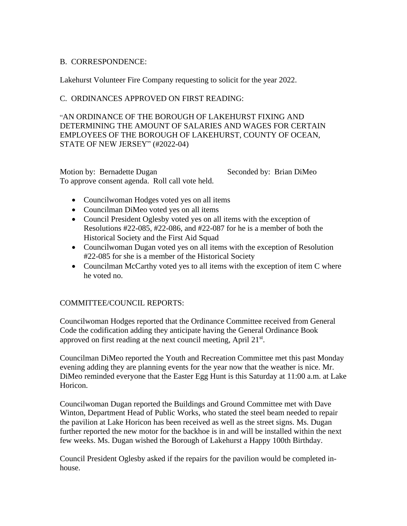## B. CORRESPONDENCE:

Lakehurst Volunteer Fire Company requesting to solicit for the year 2022.

## C. ORDINANCES APPROVED ON FIRST READING:

"AN ORDINANCE OF THE BOROUGH OF LAKEHURST FIXING AND DETERMINING THE AMOUNT OF SALARIES AND WAGES FOR CERTAIN EMPLOYEES OF THE BOROUGH OF LAKEHURST, COUNTY OF OCEAN, STATE OF NEW JERSEY" (#2022-04)

Motion by: Bernadette Dugan Seconded by: Brian DiMeo To approve consent agenda. Roll call vote held.

- Councilwoman Hodges voted yes on all items
- Councilman DiMeo voted yes on all items
- Council President Oglesby voted yes on all items with the exception of Resolutions #22-085, #22-086, and #22-087 for he is a member of both the Historical Society and the First Aid Squad
- Councilwoman Dugan voted yes on all items with the exception of Resolution #22-085 for she is a member of the Historical Society
- Councilman McCarthy voted yes to all items with the exception of item C where he voted no.

# COMMITTEE/COUNCIL REPORTS:

Councilwoman Hodges reported that the Ordinance Committee received from General Code the codification adding they anticipate having the General Ordinance Book approved on first reading at the next council meeting, April 21<sup>st</sup>.

Councilman DiMeo reported the Youth and Recreation Committee met this past Monday evening adding they are planning events for the year now that the weather is nice. Mr. DiMeo reminded everyone that the Easter Egg Hunt is this Saturday at 11:00 a.m. at Lake Horicon.

Councilwoman Dugan reported the Buildings and Ground Committee met with Dave Winton, Department Head of Public Works, who stated the steel beam needed to repair the pavilion at Lake Horicon has been received as well as the street signs. Ms. Dugan further reported the new motor for the backhoe is in and will be installed within the next few weeks. Ms. Dugan wished the Borough of Lakehurst a Happy 100th Birthday.

Council President Oglesby asked if the repairs for the pavilion would be completed inhouse.